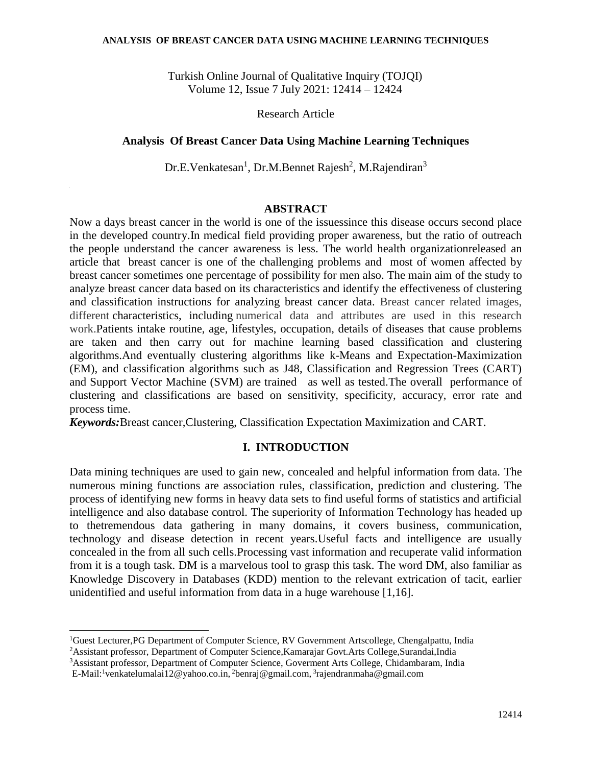#### **ANALYSIS OF BREAST CANCER DATA USING MACHINE LEARNING TECHNIQUES**

Turkish Online Journal of Qualitative Inquiry (TOJQI) Volume 12, Issue 7 July 2021: 12414 – 12424

Research Article

#### **Analysis Of Breast Cancer Data Using Machine Learning Techniques**

Dr.E.Venkatesan<sup>1</sup>, Dr.M.Bennet Rajesh<sup>2</sup>, M.Rajendiran<sup>3</sup>

#### **ABSTRACT**

Now a days breast cancer in the world is one of the issuessince this disease occurs second place in the developed country.In medical field providing proper awareness, but the ratio of outreach the people understand the cancer awareness is less. The world health organizationreleased an article that breast cancer is one of the challenging problems and most of women affected by breast cancer sometimes one percentage of possibility for men also. The main aim of the study to analyze breast cancer data based on its characteristics and identify the effectiveness of clustering and classification instructions for analyzing breast cancer data. Breast cancer related images, different characteristics, including numerical data and attributes are used in this research work.Patients intake routine, age, lifestyles, occupation, details of diseases that cause problems are taken and then carry out for machine learning based classification and clustering algorithms.And eventually clustering algorithms like k-Means and Expectation-Maximization (EM), and classification algorithms such as J48, Classification and Regression Trees (CART) and Support Vector Machine (SVM) are trained as well as tested.The overall performance of clustering and classifications are based on sensitivity, specificity, accuracy, error rate and process time.

*Keywords:*Breast cancer,Clustering, Classification Expectation Maximization and CART.

### **I. INTRODUCTION**

Data mining techniques are used to gain new, concealed and helpful information from data. The numerous mining functions are association rules, classification, prediction and clustering. The process of identifying new forms in heavy data sets to find useful forms of statistics and artificial intelligence and also database control. The superiority of Information Technology has headed up to thetremendous data gathering in many domains, it covers business, communication, technology and disease detection in recent years.Useful facts and intelligence are usually concealed in the from all such cells.Processing vast information and recuperate valid information from it is a tough task. DM is a marvelous tool to grasp this task. The word DM, also familiar as Knowledge Discovery in Databases (KDD) mention to the relevant extrication of tacit, earlier unidentified and useful information from data in a huge warehouse [1,16].

 $\overline{a}$ 

<sup>1</sup>Guest Lecturer,PG Department of Computer Science, RV Government Artscollege, Chengalpattu, India

<sup>2</sup>Assistant professor, Department of Computer Science,Kamarajar Govt.Arts College,Surandai,India

<sup>3</sup>Assistant professor, Department of Computer Science, Goverment Arts College, Chidambaram, India

E-Mail:<sup>1</sup>[venkatelumalai12@yahoo.co.in,](mailto:venkatelumalai12@yahoo.co.in) <sup>2</sup>benraj@gmail.com, <sup>3</sup>rajendranmaha@gmail.com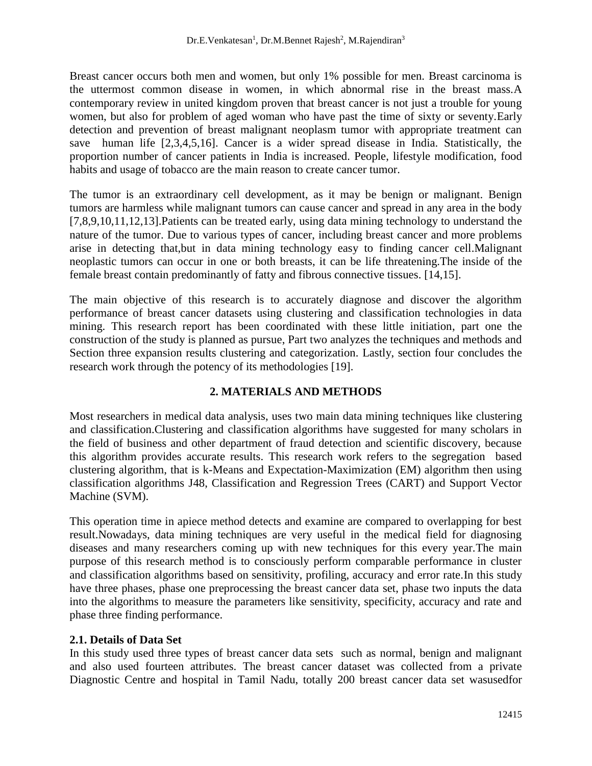Breast cancer occurs both men and women, but only 1% possible for men. Breast carcinoma is the uttermost common disease in women, in which abnormal rise in the breast mass.A contemporary review in united kingdom proven that breast cancer is not just a trouble for young women, but also for problem of aged woman who have past the time of sixty or seventy.Early detection and prevention of breast malignant neoplasm tumor with appropriate treatment can save human life [2,3,4,5,16]. Cancer is a wider spread disease in India. Statistically, the proportion number of cancer patients in India is increased. People, lifestyle modification, food habits and usage of tobacco are the main reason to create cancer tumor.

The tumor is an extraordinary cell development, as it may be benign or malignant. Benign tumors are harmless while malignant tumors can cause cancer and spread in any area in the body [7,8,9,10,11,12,13].Patients can be treated early, using data mining technology to understand the nature of the tumor. Due to various types of cancer, including breast cancer and more problems arise in detecting that,but in data mining technology easy to finding cancer cell.Malignant neoplastic tumors can occur in one or both breasts, it can be life threatening.The inside of the female breast contain predominantly of fatty and fibrous connective tissues. [14,15].

The main objective of this research is to accurately diagnose and discover the algorithm performance of breast cancer datasets using clustering and classification technologies in data mining. This research report has been coordinated with these little initiation, part one the construction of the study is planned as pursue, Part two analyzes the techniques and methods and Section three expansion results clustering and categorization. Lastly, section four concludes the research work through the potency of its methodologies [19].

## **2. MATERIALS AND METHODS**

Most researchers in medical data analysis, uses two main data mining techniques like clustering and classification.Clustering and classification algorithms have suggested for many scholars in the field of business and other department of fraud detection and scientific discovery, because this algorithm provides accurate results. This research work refers to the segregation based clustering algorithm, that is k-Means and Expectation-Maximization (EM) algorithm then using classification algorithms J48, Classification and Regression Trees (CART) and Support Vector Machine (SVM).

This operation time in apiece method detects and examine are compared to overlapping for best result.Nowadays, data mining techniques are very useful in the medical field for diagnosing diseases and many researchers coming up with new techniques for this every year.The main purpose of this research method is to consciously perform comparable performance in cluster and classification algorithms based on sensitivity, profiling, accuracy and error rate.In this study have three phases, phase one preprocessing the breast cancer data set, phase two inputs the data into the algorithms to measure the parameters like sensitivity, specificity, accuracy and rate and phase three finding performance.

### **2.1. Details of Data Set**

In this study used three types of breast cancer data sets such as normal, benign and malignant and also used fourteen attributes. The breast cancer dataset was collected from a private Diagnostic Centre and hospital in Tamil Nadu, totally 200 breast cancer data set wasusedfor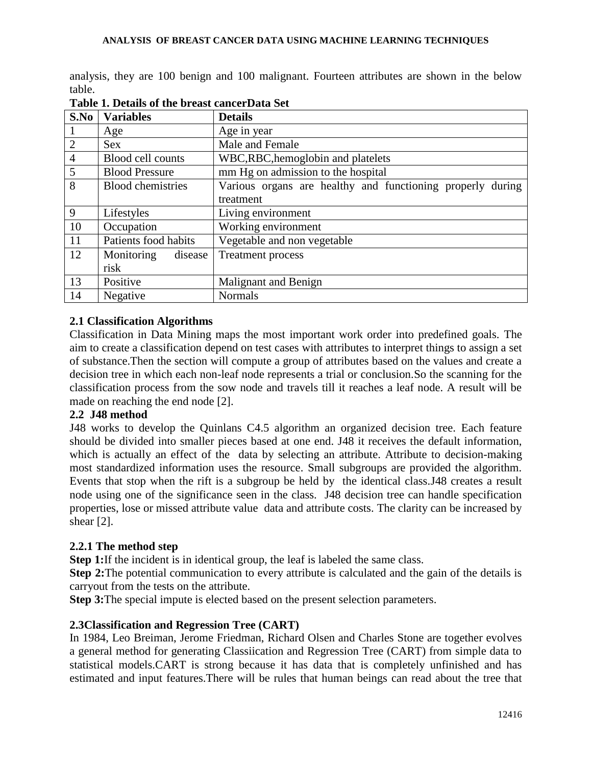analysis, they are 100 benign and 100 malignant. Fourteen attributes are shown in the below table.

| S.No           | <b>Variables</b>         | <b>Details</b>                                             |
|----------------|--------------------------|------------------------------------------------------------|
|                | Age                      | Age in year                                                |
| $\overline{2}$ | <b>Sex</b>               | Male and Female                                            |
| $\overline{4}$ | Blood cell counts        | WBC, RBC, hemoglobin and platelets                         |
| 5              | <b>Blood Pressure</b>    | mm Hg on admission to the hospital                         |
| 8              | <b>Blood chemistries</b> | Various organs are healthy and functioning properly during |
|                |                          | treatment                                                  |
| 9              | Lifestyles               | Living environment                                         |
| 10             | Occupation               | Working environment                                        |
| 11             | Patients food habits     | Vegetable and non vegetable                                |
| 12             | Monitoring<br>disease    | <b>Treatment process</b>                                   |
|                | risk                     |                                                            |
| 13             | Positive                 | Malignant and Benign                                       |
| 14             | Negative                 | <b>Normals</b>                                             |

**Table 1. Details of the breast cancerData Set**

## **2.1 Classification Algorithms**

Classification in Data Mining maps the most important work order into predefined goals. The aim to create a classification depend on test cases with attributes to interpret things to assign a set of substance.Then the section will compute a group of attributes based on the values and create a decision tree in which each non-leaf node represents a trial or conclusion.So the scanning for the classification process from the sow node and travels till it reaches a leaf node. A result will be made on reaching the end node [2].

### **2.2 J48 method**

J48 works to develop the Quinlans C4.5 algorithm an organized decision tree. Each feature should be divided into smaller pieces based at one end. J48 it receives the default information, which is actually an effect of the data by selecting an attribute. Attribute to decision-making most standardized information uses the resource. Small subgroups are provided the algorithm. Events that stop when the rift is a subgroup be held by the identical class.J48 creates a result node using one of the significance seen in the class. J48 decision tree can handle specification properties, lose or missed attribute value data and attribute costs. The clarity can be increased by shear [2].

### **2.2.1 The method step**

**Step 1:**If the incident is in identical group, the leaf is labeled the same class.

**Step 2:**The potential communication to every attribute is calculated and the gain of the details is carryout from the tests on the attribute.

**Step 3:**The special impute is elected based on the present selection parameters.

## **2.3Classification and Regression Tree (CART)**

In 1984, Leo Breiman, Jerome Friedman, Richard Olsen and Charles Stone are together evolves a general method for generating Classiication and Regression Tree (CART) from simple data to statistical models.CART is strong because it has data that is completely unfinished and has estimated and input features.There will be rules that human beings can read about the tree that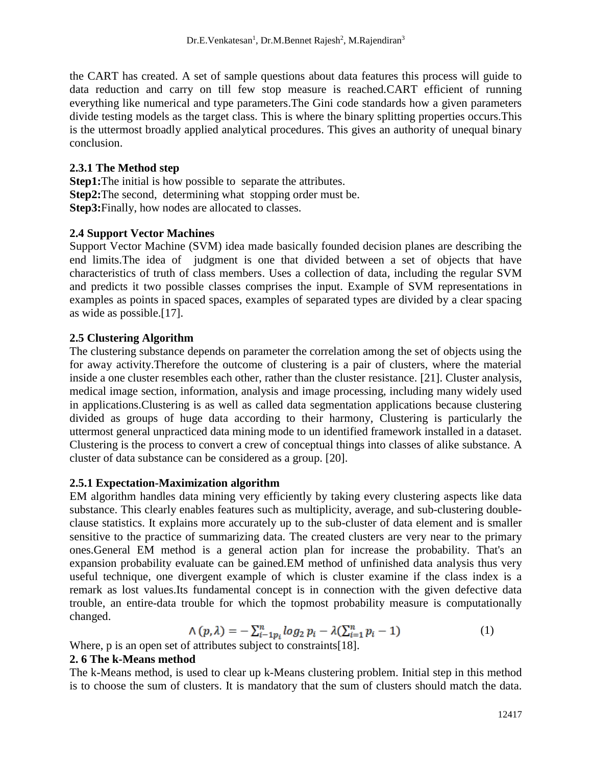the CART has created. A set of sample questions about data features this process will guide to data reduction and carry on till few stop measure is reached.CART efficient of running everything like numerical and type parameters.The Gini code standards how a given parameters divide testing models as the target class. This is where the binary splitting properties occurs.This is the uttermost broadly applied analytical procedures. This gives an authority of unequal binary conclusion.

### **2.3.1 The Method step**

**Step1:**The initial is how possible to separate the attributes. **Step2:**The second, determining what stopping order must be. **Step3:**Finally, how nodes are allocated to classes.

## **2.4 Support Vector Machines**

Support Vector Machine (SVM) idea made basically founded decision planes are describing the end limits.The idea of judgment is one that divided between a set of objects that have characteristics of truth of class members. Uses a collection of data, including the regular SVM and predicts it two possible classes comprises the input. Example of SVM representations in examples as points in spaced spaces, examples of separated types are divided by a clear spacing as wide as possible.[17].

## **2.5 Clustering Algorithm**

The clustering substance depends on parameter the correlation among the set of objects using the for away activity.Therefore the outcome of clustering is a pair of clusters, where the material inside a one cluster resembles each other, rather than the cluster resistance. [21]. Cluster analysis, medical image section, information, analysis and image processing, including many widely used in applications.Clustering is as well as called data segmentation applications because clustering divided as groups of huge data according to their harmony, Clustering is particularly the uttermost general unpracticed data mining mode to un identified framework installed in a dataset. Clustering is the process to convert a crew of conceptual things into classes of alike substance. A cluster of data substance can be considered as a group. [20].

## **2.5.1 Expectation-Maximization algorithm**

EM algorithm handles data mining very efficiently by taking every clustering aspects like data substance. This clearly enables features such as multiplicity, average, and sub-clustering doubleclause statistics. It explains more accurately up to the sub-cluster of data element and is smaller sensitive to the practice of summarizing data. The created clusters are very near to the primary ones.General EM method is a general action plan for increase the probability. That's an expansion probability evaluate can be gained.EM method of unfinished data analysis thus very useful technique, one divergent example of which is cluster examine if the class index is a remark as lost values.Its fundamental concept is in connection with the given defective data trouble, an entire-data trouble for which the topmost probability measure is computationally changed.

$$
\Lambda(p,\lambda) = -\sum_{i-1}^{n} \log_2 p_i - \lambda (\sum_{i=1}^{n} p_i - 1) \tag{1}
$$

Where, p is an open set of attributes subject to constraints [18].

### **2. 6 The k-Means method**

The k-Means method, is used to clear up k-Means clustering problem. Initial step in this method is to choose the sum of clusters. It is mandatory that the sum of clusters should match the data.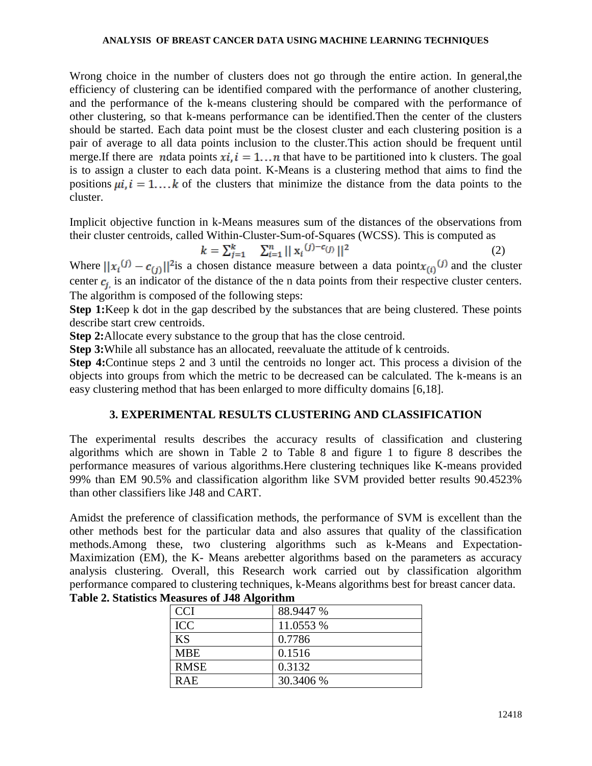#### **ANALYSIS OF BREAST CANCER DATA USING MACHINE LEARNING TECHNIQUES**

Wrong choice in the number of clusters does not go through the entire action. In general,the efficiency of clustering can be identified compared with the performance of another clustering, and the performance of the k-means clustering should be compared with the performance of other clustering, so that k-means performance can be identified.Then the center of the clusters should be started. Each data point must be the closest cluster and each clustering position is a pair of average to all data points inclusion to the cluster.This action should be frequent until merge.If there are notata points  $xi$ ,  $i = 1...n$  that have to be partitioned into k clusters. The goal is to assign a cluster to each data point. K-Means is a clustering method that aims to find the positions  $\mu i$ ,  $i = 1...k$  of the clusters that minimize the distance from the data points to the cluster.

Implicit objective function in k-Means measures sum of the distances of the observations from their cluster centroids, called Within-Cluster-Sum-of-Squares (WCSS). This is computed as

$$
k = \sum_{j=1}^{k} \sum_{i=1}^{n} || \mathbf{x}_i^{(j) - c_{(j)}} ||^2
$$
 (2)

Where  $||x_i^{(j)} - c_{(i)}||^2$  is a chosen distance measure between a data point $x_{(i)}^{(j)}$  and the cluster center  $c_j$  is an indicator of the distance of the n data points from their respective cluster centers. The algorithm is composed of the following steps:

**Step 1:**Keep k dot in the gap described by the substances that are being clustered. These points describe start crew centroids.

**Step 2:**Allocate every substance to the group that has the close centroid.

**Step 3:**While all substance has an allocated, reevaluate the attitude of k centroids.

**Step 4:**Continue steps 2 and 3 until the centroids no longer act. This process a division of the objects into groups from which the metric to be decreased can be calculated. The k-means is an easy clustering method that has been enlarged to more difficulty domains [6,18].

## **3. EXPERIMENTAL RESULTS CLUSTERING AND CLASSIFICATION**

The experimental results describes the accuracy results of classification and clustering algorithms which are shown in Table 2 to Table 8 and figure 1 to figure 8 describes the performance measures of various algorithms.Here clustering techniques like K-means provided 99% than EM 90.5% and classification algorithm like SVM provided better results 90.4523% than other classifiers like J48 and CART.

Amidst the preference of classification methods, the performance of SVM is excellent than the other methods best for the particular data and also assures that quality of the classification methods.Among these, two clustering algorithms such as k-Means and Expectation-Maximization (EM), the K- Means arebetter algorithms based on the parameters as accuracy analysis clustering. Overall, this Research work carried out by classification algorithm performance compared to clustering techniques, k-Means algorithms best for breast cancer data.

| <b>CCI</b>  | 88.9447 % |
|-------------|-----------|
| <b>ICC</b>  | 11.0553 % |
| <b>KS</b>   | 0.7786    |
| <b>MBE</b>  | 0.1516    |
| <b>RMSE</b> | 0.3132    |
| <b>RAE</b>  | 30.3406 % |

|  |  |  |  | Table 2. Statistics Measures of J48 Algorithm |
|--|--|--|--|-----------------------------------------------|
|--|--|--|--|-----------------------------------------------|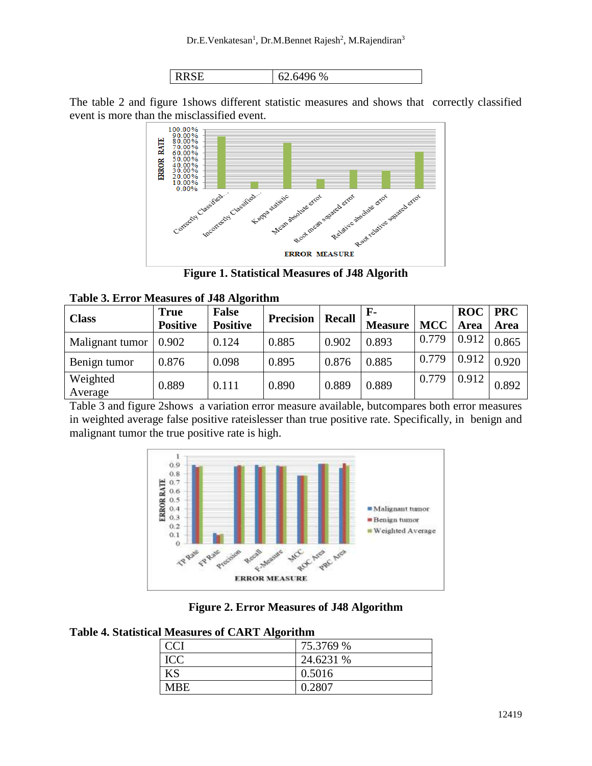

The table 2 and figure 1shows different statistic measures and shows that correctly classified



**Figure 1. Statistical Measures of J48 Algorith**

|  |  |  |  | <b>Table 3. Error Measures of J48 Algorithm</b> |
|--|--|--|--|-------------------------------------------------|
|--|--|--|--|-------------------------------------------------|

| <b>Class</b>        | <b>True</b>     | <b>False</b>    | <b>Precision</b> | <b>Recall</b> | $\mathbf{F}$   |            | <b>ROC</b> | <b>PRC</b> |
|---------------------|-----------------|-----------------|------------------|---------------|----------------|------------|------------|------------|
|                     | <b>Positive</b> | <b>Positive</b> |                  |               | <b>Measure</b> | <b>MCC</b> | Area       | Area       |
| Malignant tumor     | 0.902           | 0.124           | 0.885            | 0.902         | 0.893          | 0.779      | 0.912      | 0.865      |
| Benign tumor        | 0.876           | 0.098           | 0.895            | 0.876         | 0.885          | 0.779      | 0.912      | 0.920      |
| Weighted<br>Average | 0.889           | 0.111           | 0.890            | 0.889         | 0.889          | 0.779      | 0.912      | 0.892      |

Table 3 and figure 2shows a variation error measure available, butcompares both error measures in weighted average false positive rateislesser than true positive rate. Specifically, in benign and malignant tumor the true positive rate is high.



**Figure 2. Error Measures of J48 Algorithm**

**Table 4. Statistical Measures of CART Algorithm**

| - - - -    |           |
|------------|-----------|
| <b>CCI</b> | 75.3769 % |
| <b>ICC</b> | 24.6231 % |
| KS         | 0.5016    |
| <b>MBE</b> | 0.2807    |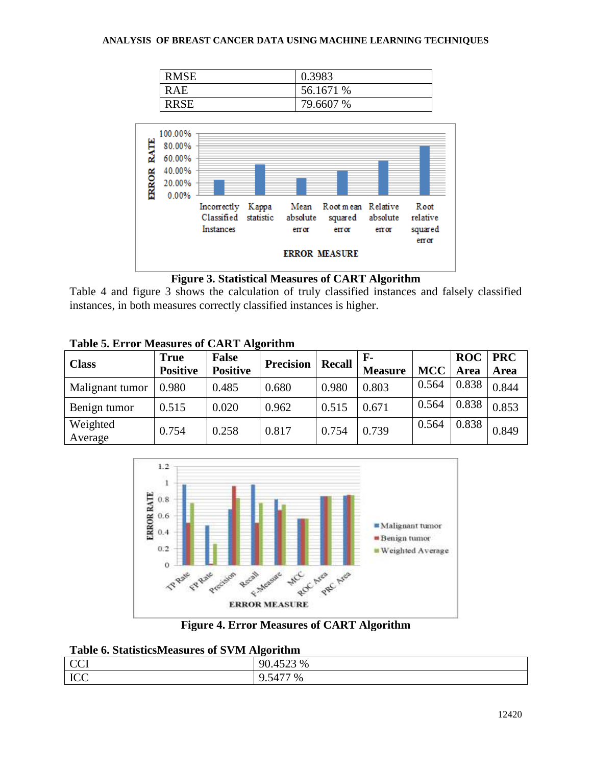#### **ANALYSIS OF BREAST CANCER DATA USING MACHINE LEARNING TECHNIQUES**

| <b>RMSE</b> | 0.3983    |
|-------------|-----------|
| R A E       | 56.1671 % |
| <b>RRSE</b> | 79.6607 % |



#### **Figure 3. Statistical Measures of CART Algorithm**

Table 4 and figure 3 shows the calculation of truly classified instances and falsely classified instances, in both measures correctly classified instances is higher.

| Table 5. Effor Measures of CART Algorithm |                 |                 |                  |               |                |            |            |             |  |
|-------------------------------------------|-----------------|-----------------|------------------|---------------|----------------|------------|------------|-------------|--|
| <b>Class</b>                              | <b>True</b>     | <b>False</b>    |                  | <b>Recall</b> | $\mathbf{F}$   |            | <b>ROC</b> | <b>PRC</b>  |  |
|                                           | <b>Positive</b> | <b>Positive</b> | <b>Precision</b> |               | <b>Measure</b> | <b>MCC</b> | Area       | <b>Area</b> |  |
| Malignant tumor                           | 0.980           | 0.485           | 0.680            | 0.980         | 0.803          | 0.564      | 0.838      | 0.844       |  |
| Benign tumor                              | 0.515           | 0.020           | 0.962            | 0.515         | 0.671          | 0.564      | 0.838      | 0.853       |  |
| Weighted<br>Average                       | 0.754           | 0.258           | 0.817            | 0.754         | 0.739          | 0.564      | 0.838      | 0.849       |  |

# **Table 5. Error Measures of CART Algorithm**



**Figure 4. Error Measures of CART Algorithm**

### **Table 6. StatisticsMeasures of SVM Algorithm**

| <b>CCI</b> | 523 %<br>90.452                    |
|------------|------------------------------------|
| ICC        | $\%$<br>14<br>$\ddot{\phantom{0}}$ |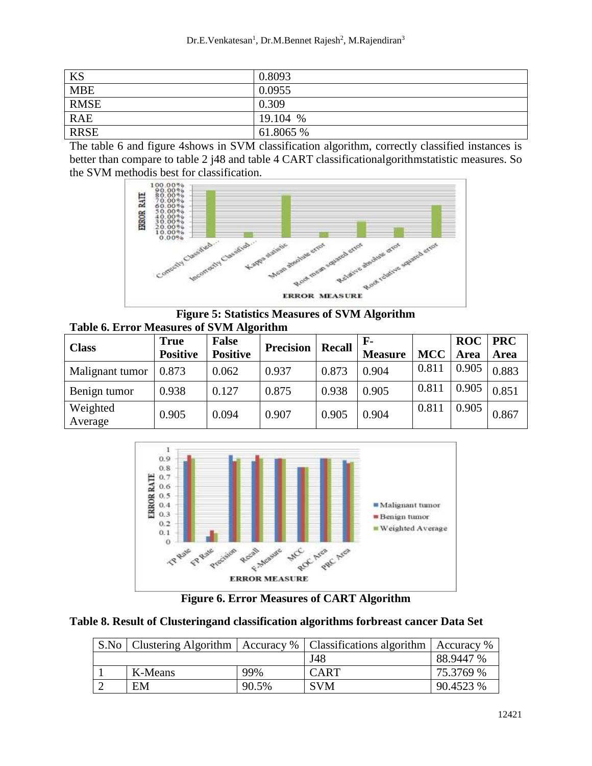| KS          | 0.8093    |
|-------------|-----------|
| <b>MBE</b>  | 0.0955    |
| <b>RMSE</b> | 0.309     |
| <b>RAE</b>  | 19.104 %  |
| <b>RRSE</b> | 61.8065 % |

The table 6 and figure 4shows in SVM classification algorithm, correctly classified instances is better than compare to table 2 j48 and table 4 CART classificationalgorithmstatistic measures. So the SVM methodis best for classification.



**Figure 5: Statistics Measures of SVM Algorithm Table 6. Error Measures of SVM Algorithm**

|                     | <b>True</b>     | <b>False</b>    | <b>Precision</b> | <b>Recall</b> | - F            |            | <b>ROC</b> | <b>PRC</b> |
|---------------------|-----------------|-----------------|------------------|---------------|----------------|------------|------------|------------|
| <b>Class</b>        | <b>Positive</b> | <b>Positive</b> |                  |               | <b>Measure</b> | <b>MCC</b> | Area       | Area       |
| Malignant tumor     | 0.873           | 0.062           | 0.937            | 0.873         | 0.904          | 0.811      | 0.905      | 0.883      |
| Benign tumor        | 0.938           | 0.127           | 0.875            | 0.938         | 0.905          | 0.811      | 0.905      | 0.851      |
| Weighted<br>Average | 0.905           | 0.094           | 0.907            | 0.905         | 0.904          | 0.811      | 0.905      | 0.867      |



**Figure 6. Error Measures of CART Algorithm**

|  | Table 8. Result of Clusteringand classification algorithms forbreast cancer Data Set |  |  |  |
|--|--------------------------------------------------------------------------------------|--|--|--|
|  |                                                                                      |  |  |  |
|  |                                                                                      |  |  |  |

| S.No |         |       | Clustering Algorithm   Accuracy %   Classifications algorithm   Accuracy % |           |
|------|---------|-------|----------------------------------------------------------------------------|-----------|
|      |         |       | J48                                                                        | 88.9447 % |
|      | K-Means | 99%   | <b>CART</b>                                                                | 75.3769 % |
|      | EM      | 90.5% | <b>SVM</b>                                                                 | 90.4523 % |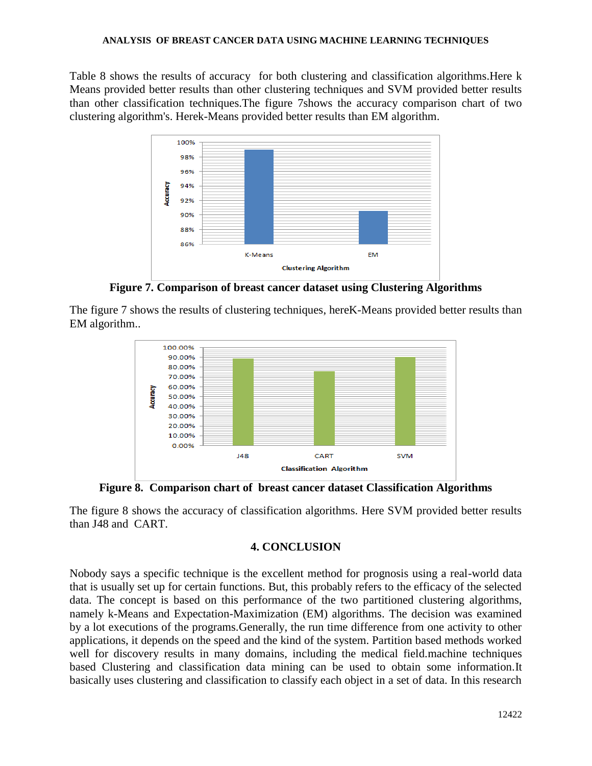Table 8 shows the results of accuracy for both clustering and classification algorithms.Here k Means provided better results than other clustering techniques and SVM provided better results than other classification techniques.The figure 7shows the accuracy comparison chart of two clustering algorithm's. Herek-Means provided better results than EM algorithm.



**Figure 7. Comparison of breast cancer dataset using Clustering Algorithms**

The figure 7 shows the results of clustering techniques, hereK-Means provided better results than EM algorithm..



**Figure 8. Comparison chart of breast cancer dataset Classification Algorithms**

The figure 8 shows the accuracy of classification algorithms. Here SVM provided better results than J48 and CART.

## **4. CONCLUSION**

Nobody says a specific technique is the excellent method for prognosis using a real-world data that is usually set up for certain functions. But, this probably refers to the efficacy of the selected data. The concept is based on this performance of the two partitioned clustering algorithms, namely k-Means and Expectation-Maximization (EM) algorithms. The decision was examined by a lot executions of the programs.Generally, the run time difference from one activity to other applications, it depends on the speed and the kind of the system. Partition based methods worked well for discovery results in many domains, including the medical field.machine techniques based Clustering and classification data mining can be used to obtain some information.It basically uses clustering and classification to classify each object in a set of data. In this research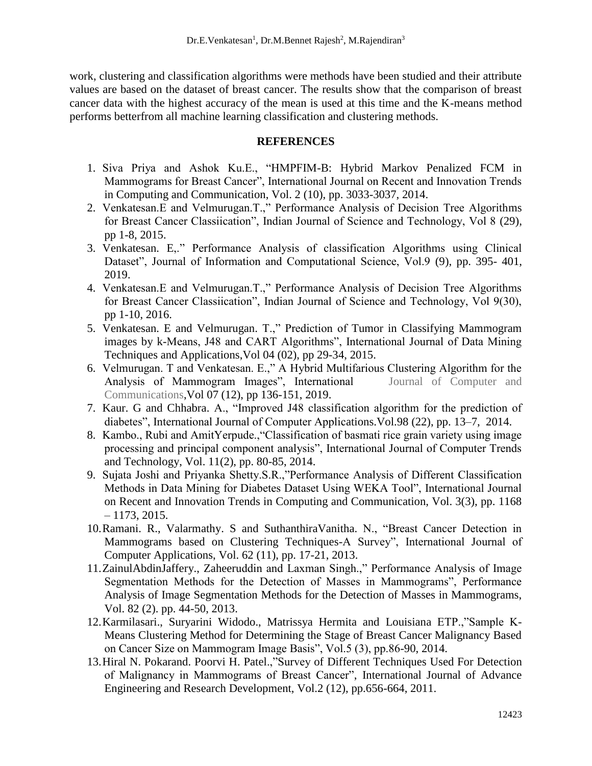work, clustering and classification algorithms were methods have been studied and their attribute values are based on the dataset of breast cancer. The results show that the comparison of breast cancer data with the highest accuracy of the mean is used at this time and the K-means method performs betterfrom all machine learning classification and clustering methods.

### **REFERENCES**

- 1. Siva Priya and Ashok Ku.E., "HMPFIM-B: Hybrid Markov Penalized FCM in Mammograms for Breast Cancer", International Journal on Recent and Innovation Trends in Computing and Communication, Vol. 2 (10), pp. 3033-3037, 2014.
- 2. Venkatesan.E and Velmurugan.T.," Performance Analysis of Decision Tree Algorithms for Breast Cancer Classiication", Indian Journal of Science and Technology, Vol 8 (29), pp 1-8, 2015.
- 3. Venkatesan. E,." Performance Analysis of classification Algorithms using Clinical Dataset", Journal of Information and Computational Science, Vol.9 (9), pp. 395- 401, 2019.
- 4. Venkatesan.E and Velmurugan.T.," Performance Analysis of Decision Tree Algorithms for Breast Cancer Classiication", Indian Journal of Science and Technology, Vol 9(30), pp 1-10, 2016.
- 5. Venkatesan. E and Velmurugan. T.," Prediction of Tumor in Classifying Mammogram images by k-Means, J48 and CART Algorithms", International Journal of Data Mining Techniques and Applications,Vol 04 (02), pp 29-34, 2015.
- 6. Velmurugan. T and Venkatesan. E.," A Hybrid Multifarious Clustering Algorithm for the Analysis of Mammogram Images", International Journal of Computer and Communications,Vol 07 (12), pp 136-151, 2019.
- 7. Kaur. G and Chhabra. A., "Improved J48 classification algorithm for the prediction of diabetes", International Journal of Computer Applications.Vol.98 (22), pp. 13–7, 2014.
- 8. Kambo., Rubi and AmitYerpude.,"Classification of basmati rice grain variety using image processing and principal component analysis", International Journal of Computer Trends and Technology, Vol. 11(2), pp. 80-85, 2014.
- 9. Sujata Joshi and Priyanka Shetty.S.R.,"Performance Analysis of Different Classification Methods in Data Mining for Diabetes Dataset Using WEKA Tool", International Journal on Recent and Innovation Trends in Computing and Communication, Vol. 3(3), pp. 1168  $-1173, 2015.$
- 10.Ramani. R., Valarmathy. S and SuthanthiraVanitha. N., "Breast Cancer Detection in Mammograms based on Clustering Techniques-A Survey", International Journal of Computer Applications, Vol. 62 (11), pp. 17-21, 2013.
- 11.ZainulAbdinJaffery., Zaheeruddin and Laxman Singh.," Performance Analysis of Image Segmentation Methods for the Detection of Masses in Mammograms", Performance Analysis of Image Segmentation Methods for the Detection of Masses in Mammograms, Vol. 82 (2). pp. 44-50, 2013.
- 12.Karmilasari., Suryarini Widodo., Matrissya Hermita and Louisiana ETP.,"Sample K-Means Clustering Method for Determining the Stage of Breast Cancer Malignancy Based on Cancer Size on Mammogram Image Basis", Vol.5 (3), pp.86-90, 2014.
- 13.Hiral N. Pokarand. Poorvi H. Patel.,"Survey of Different Techniques Used For Detection of Malignancy in Mammograms of Breast Cancer", International Journal of Advance Engineering and Research Development, Vol.2 (12), pp.656-664, 2011.